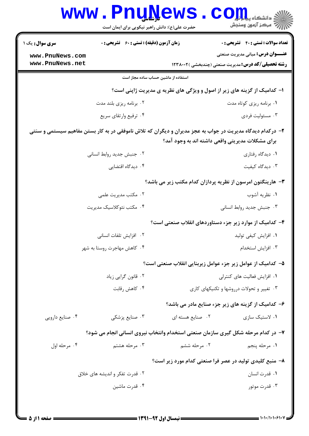| www.PnuNews            | حضرت علی(ع): دانش راهبر نیکویی برای ایمان است                                                              |                                                  | دانشڪاء پيد <mark>م جو</mark><br>اڳ دانشڪاء پيد <mark>م</mark> جو        |
|------------------------|------------------------------------------------------------------------------------------------------------|--------------------------------------------------|--------------------------------------------------------------------------|
| <b>سری سوال :</b> یک ۱ | <b>زمان آزمون (دقیقه) : تستی : 60 ٪ تشریحی : 0</b>                                                         |                                                  | <b>تعداد سوالات : تستی : 40 - تشریحی : 0</b>                             |
| www.PnuNews.com        |                                                                                                            |                                                  | <b>عنـــوان درس:</b> مبانی مدیریت صنعتی                                  |
| www.PnuNews.net        |                                                                                                            |                                                  | <b>رشته تحصیلی/کد درس:</b> مدیریت صنعتی (چندبخشی )۱۲۳۸۰۰۲                |
|                        | استفاده از ماشین حساب ساده مجاز است                                                                        |                                                  |                                                                          |
|                        |                                                                                                            |                                                  | ا- کدامیک از گزینه های زیر از اصول و ویژگی های نظریه ی مدیریت ژاپنی است؟ |
|                        | ۰۲ برنامه ریزی بلند مدت                                                                                    |                                                  | ۰۱ برنامه ریزی کوتاه مدت                                                 |
|                        | ۰۴ ترفيع وارتقاي سريع                                                                                      |                                                  | ۰۳ مسئوليت فردي                                                          |
|                        | ۲- درکدام دیدگاه مدیریت در جواب به عجز مدیران و دیگران که تلاش ناموفقی در به کار بستن مفاهیم سیستمی و سنتی |                                                  |                                                                          |
|                        |                                                                                                            | برای مشکلات مدیریتی واقعی داشته اند به وجود آمد؟ |                                                                          |
|                        | ٠٢ جنبش جديد روابط انساني                                                                                  |                                                  | ۰۱ دیدگاه رفتاری                                                         |
|                        | ۰۴ دیدگاه اقتضایی                                                                                          |                                                  | ۰۳ دیدگاه کیفیت                                                          |
|                        |                                                                                                            |                                                  | ۳- هارینگتون امرسون از نظریه پردازان کدام مکتب زیر می باشد؟              |
|                        | ۰۲ مکتب مدیریت علمی                                                                                        |                                                  | ۰۱ نظریه آشوب                                                            |
|                        | ۰۴ مكتب نئوكلاسيك مديريت                                                                                   |                                                  | ۰۳ جنبش جدید روابط انسانی                                                |
|                        |                                                                                                            |                                                  | ۴- کدامیک از موارد زیر جزء دستاوردهای انقلاب صنعتی است؟                  |
|                        | ٢. افزايش تلفات انسانى                                                                                     |                                                  | ٠١. افزايش كيفي توليد                                                    |
|                        | ۰۴ کاهش مهاجرت روستا به شهر                                                                                |                                                  | ۰۳ افزايش استخدام                                                        |
|                        |                                                                                                            |                                                  | ۵– کدامیک از عوامل زیر جزء عوامل زیربنایی انقلاب صنعتی است؟              |
|                        | ۰۲ قانون گرایی زیاد                                                                                        | ۰۱ افزایش فعالیت های کنترلی                      |                                                                          |
|                        | ۰۴ کاهش رقابت                                                                                              |                                                  | ۰۳ تغییر و تحولات درروشها و تکنیکهای کاری                                |
|                        |                                                                                                            |                                                  | ۶- کدامیک از گزینه های زیر جزء صنایع مادر می باشد؟                       |
| ۰۴ صنايع دارويي        | ۰۳ صنایع پزشکی                                                                                             | ۰۲ صنایع هسته ای                                 | ۰۱ لاستیک سازی                                                           |
|                        | ۷- در کدام مرحله شکل گیری سازمان صنعتی استخدام وانتخاب نیروی انسانی انجام می شود؟                          |                                                  |                                                                          |
| ۰۴ مرحله اول           | ۰۳ مرحله هشتم                                                                                              | ۲. مرحله ششم                                     | ٠١ مرحله پنجم                                                            |
|                        |                                                                                                            |                                                  | ۸– منبع کلیدی تولید در عصر فرا صنعتی کدام مورد زیر است؟                  |
|                        | ۰۲ قدرت تفکر و اندیشه های خلاق                                                                             |                                                  | ۰۱ قدرت انسان                                                            |
|                        | ۰۴ قدرت ماشين                                                                                              |                                                  | ۰۳ قدرت موتور                                                            |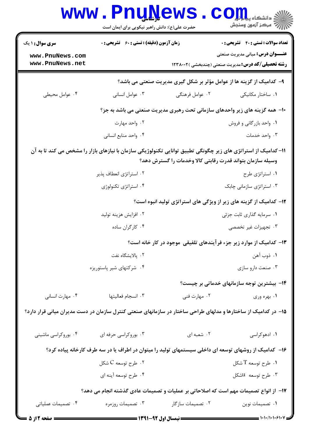|                                                                    | <b>www.PnuNews</b><br>حضرت علی(ع): دانش راهبر نیکویی برای ایمان است |                   | ر آمرڪز آزمون وسنڊش                                                                                                                                                         |  |
|--------------------------------------------------------------------|---------------------------------------------------------------------|-------------------|-----------------------------------------------------------------------------------------------------------------------------------------------------------------------------|--|
| <b>سری سوال :</b> ۱ یک                                             | <b>زمان آزمون (دقیقه) : تستی : 60 ٪ تشریحی : 0</b>                  |                   | تعداد سوالات : تستى : 40 - تشريحي : 0                                                                                                                                       |  |
| www.PnuNews.com<br>www.PnuNews.net                                 |                                                                     |                   | <b>عنـــوان درس:</b> مبانی مدیریت صنعتی<br><b>رشته تحصیلی/کد درس: م</b> دیریت صنعتی (چندبخشی )۱۲۳۸۰۰۲                                                                       |  |
|                                                                    |                                                                     |                   | ۹- کدامیک از گزینه ها از عوامل مؤثر بر شکل گیری مدیریت صنعتی می باشد؟                                                                                                       |  |
| ۰۴ عوامل محیطی                                                     | ۰۳ عوامل انسانی                                                     | ۰۲ عوامل فرهنگی   | ۰۱ ساختار مکانیکی                                                                                                                                                           |  |
|                                                                    |                                                                     |                   | <b>۰۱</b> - همه گزینه های زیر واحدهای سازمانی تحت رهبری مدیریت صنعتی می باشد به جز؟                                                                                         |  |
|                                                                    | ۰۲ واحد مهارت                                                       |                   | ۰۱ واحد بازرگانی و فروش                                                                                                                                                     |  |
|                                                                    | ۰۴ واحد منابع انساني                                                |                   | ۰۳ واحد خدمات                                                                                                                                                               |  |
|                                                                    |                                                                     |                   | 1۱– کدامیک از استراتژی های زیر چگونگی تطبیق توانایی تکنولوژیکی سازمان با نیازهای بازار را مشخص می کند تا به آن<br>وسیله سازمان بتواند قدرت رقابتی کالا وخدمات را گسترش دهد؟ |  |
|                                                                    | ۰۲ استراتژی انعطاف پذیر                                             |                   | ۰۱ استراتژی طرح                                                                                                                                                             |  |
|                                                                    | ۰۴ استراتژی تکنولوژی                                                |                   | ۰۳ استراتژی سازمانی چابک                                                                                                                                                    |  |
| ۱۲- کدامیک از گزینه های زیر از ویژگی های استراتژی تولید انبوه است؟ |                                                                     |                   |                                                                                                                                                                             |  |
|                                                                    | ۰۲ افزایش هزینه تولید                                               |                   | ۰۱ سرمایه گذاری ثابت جزئی                                                                                                                                                   |  |
|                                                                    | ۰۴ کارگران ساده                                                     |                   | ۰۳ تجهیزات غیر تخصصی                                                                                                                                                        |  |
|                                                                    |                                                                     |                   | ۱۳- کدامیک از موارد زیر جزء فرآیندهای تلفیقی موجود در کار خانه است؟                                                                                                         |  |
|                                                                    | ٠٢ پالايشگاه نفت                                                    |                   | ١. ذوب آهن                                                                                                                                                                  |  |
|                                                                    | ۰۴ شرکتهای شیر پاستوریزه                                            |                   | ۰۳ صنعت دارو سازي                                                                                                                                                           |  |
|                                                                    |                                                                     |                   | ۱۴– بیشترین توجه سازمانهای خدماتی بر چیست؟                                                                                                                                  |  |
| ۰۴ مهارت انسانی                                                    | ۰۳ انسجام فعاليتها                                                  | ۰۲ مهارت فنی      | ۰۱ بهره وري                                                                                                                                                                 |  |
|                                                                    |                                                                     |                   | ۱۵– در کدامیک از ساختارها و مدلهای طراحی ساختار در سازمانهای صنعتی کنترل سازمان در دست مدیران میانی قرار دارد؟                                                              |  |
| ۰۴ بوروکراسی ماشینی                                                | ۰۳ بوروکراسی حرفه ای                                                | ۰۲ شعبه ای        | ۰۱ ادهوکراسی                                                                                                                                                                |  |
|                                                                    |                                                                     |                   | ۱۶– کدامیک از روشهای توسعه ای داخلی سیستمهای تولید را میتوان در اطراف یا در سه طرف کارخانه پیاده کرد؟                                                                       |  |
|                                                                    | ۰۲ طرح توسعه C شکل $\cdot$                                          |                   | ا. طرح توسعه $\mathrm{T}$ شکل $\cdot$                                                                                                                                       |  |
|                                                                    | ۰۴ طرح توسعه أينه اي                                                |                   | ۰۳ طرح توسعه üلشکل                                                                                                                                                          |  |
|                                                                    |                                                                     |                   | ۱۷– از انواع تصمیمات مهم است که اصلاحاتی بر عملیات و تصمیمات عادی گذشته انجام می دهد؟                                                                                       |  |
| ۰۴ تصمیمات عملیاتی                                                 | ۰۳ تصمیمات روزمره                                                   | ۰۲ تصمیمات سازگار | ٠١ تصميمات نوين                                                                                                                                                             |  |
| ـــــــــ صفحه 12: 5                                               |                                                                     |                   |                                                                                                                                                                             |  |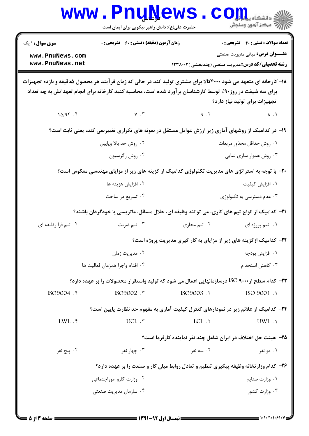| <b>سری سوال : ۱ یک</b>                                                                                           | زمان آزمون (دقیقه) : تستی : 60 ٪ تشریحی : 0 |                                                                                                          | <b>تعداد سوالات : تستی : 40 ٪ تشریحی : 0</b>              |
|------------------------------------------------------------------------------------------------------------------|---------------------------------------------|----------------------------------------------------------------------------------------------------------|-----------------------------------------------------------|
| www.PnuNews.com                                                                                                  |                                             |                                                                                                          | <b>عنـــوان درس:</b> مبانی مدیریت صنعتی                   |
| www.PnuNews.net                                                                                                  |                                             |                                                                                                          | <b>رشته تحصیلی/کد درس:</b> مدیریت صنعتی (چندبخشی )۱۲۳۸۰۰۲ |
| ۱۸– کارخانه ای متعهد می شود ۴۰۰۰کالا برای مشتری تولید کند در حالی که زمان فرآیند هر محصول ۵دقیقه و بازده تجهیزات |                                             | برای سه شیفت در روز۹۰٪ توسط کارشناسان برآورد شده است، محاسبه کنید کارخانه برای انجام تعهداتش به چه تعداد | تجهیزات برای تولید نیاز دارد؟                             |
| 10/95.5                                                                                                          | $V \cdot V$                                 | 9.7                                                                                                      | $\Lambda$ . $\Lambda$                                     |
|                                                                                                                  |                                             | ۱۹- در کدامیک از روشهای آماری زیر ارزش عوامل مستقل در نمونه های تکراری تغییرنمی کند، یعنی ثابت است؟      |                                                           |
|                                                                                                                  | ۰۲ روش حد بالا وپايين                       |                                                                                                          | ٠١. روش حداقل مجذور مربعات                                |
|                                                                                                                  | ۰۴ روش رگرسيون                              |                                                                                                          | ۰۳ روش هموار سازی نمایی                                   |
|                                                                                                                  |                                             | +۲- با توجه به استراتژی های مدیریت تکنولوژی کدامیک از گزینه های زیر از مزایای مهندسی معکوس است؟          |                                                           |
|                                                                                                                  | ۰۲ افزایش هزینه ها                          |                                                                                                          | ٠١ افزايش كيفيت                                           |
|                                                                                                                  | ۰۴ تسریع در ساخت                            |                                                                                                          | ۰۳ عدم دسترسی به تکنولوژی                                 |
|                                                                                                                  |                                             | <b>۲۱</b> – کدامیک از انواع تیم های کاری، می توانند وظیفه ای، حلال مسائل، ماتریسی یا خودگردان باشند؟     |                                                           |
| ۰۴ تيم فرا وظيفه اي                                                                                              | ۰۳ تیم ضربت                                 | ۰۲ تیم مجازی                                                                                             | ۰۱ تیم پروژه ای                                           |
|                                                                                                                  |                                             | ۲۲- کدامیک ازگزینه های زیر از مزایای به کار گیری مدیریت پروژه است؟                                       |                                                           |
|                                                                                                                  | ۰۲ مدیریت زمان                              |                                                                                                          | ٠١ افزايش بودجه                                           |
|                                                                                                                  | ۰۴ اقدام واجرا همزمان فعاليت ها             |                                                                                                          | ۰۳ کاهش استخدام                                           |
|                                                                                                                  |                                             | 7۳– کدام سطح از ۱۶۰۰ ISO درسازمانهایی اعمال می شود که تولید واستقرار محصولات را بر عهده دارد؟            |                                                           |
| ISO9004 . ۴                                                                                                      | r. ISO9002                                  | 1SO9003 .٢                                                                                               | ISO 9001 .1                                               |
|                                                                                                                  |                                             | ۲۴– کدامیک از علائم زیر در نمودارهای کنترل کیفیت آماری به مفهوم حد نظارت پایین است؟                      |                                                           |
| $LWL$ $.$                                                                                                        | $UCL$ . $\tau$                              | $LCL$ $.7$                                                                                               | UWL .                                                     |
|                                                                                                                  |                                             | ۲۵- هیئت حل اختلاف در ایران شامل چند نفر نماینده کارفرما است؟                                            |                                                           |
| ۰۴ پنج نفر                                                                                                       | ۰۳ چهار نفر                                 | ۰۲ سه نفر                                                                                                | ۰۱ دو نفر                                                 |
|                                                                                                                  |                                             | ۲۶- کدام وزارتخانه وظیفه پیگیری تنظیم و تعادل روابط میان کار و صنعت را بر عهده دارد؟                     |                                                           |
|                                                                                                                  | ۰۲ وزارت کارو اموراجتماعی                   |                                                                                                          | ۰۱ وزارت صنايع                                            |
|                                                                                                                  | ۰۴ سازمان مدیریت صنعتی                      |                                                                                                          | ۰۳ وزارت کشور                                             |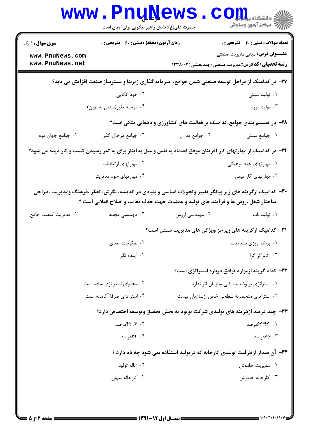| <b>سری سوال : ۱ یک</b>             | <b>زمان آزمون (دقیقه) : تستی : 60 گشریحی : 0</b> |                                                                                                                  | <b>تعداد سوالات : تستی : 40 قشریحی : 0</b>                                                          |  |
|------------------------------------|--------------------------------------------------|------------------------------------------------------------------------------------------------------------------|-----------------------------------------------------------------------------------------------------|--|
| www.PnuNews.com<br>www.PnuNews.net |                                                  |                                                                                                                  | <b>عنـــوان درس:</b> مبانی مدیریت صنعتی<br><b>رشته تحصیلی/کد درس:</b> مدیریت صنعتی (چندبخشی )۲۳۸۰۰۲ |  |
|                                    |                                                  | ۲۷– در کدامیک از مراحل توسعه صنعتی شدن جوامع، سرمایه گذاری زیربنا و بسترساز صنعت افزایش می یابد؟                 |                                                                                                     |  |
|                                    | ۰۲ خود اتکایی                                    |                                                                                                                  | ۰۱ تولید سنتی                                                                                       |  |
|                                    | ۰۴ مرحله تغیر(سنتی به نوین)                      |                                                                                                                  | ۰۳ تولید انبوه                                                                                      |  |
|                                    |                                                  | ۲۸- در تقسیم بندی جوامع،کدامیک بر فعالیت های کشاورزی و دهقانی متکی است؟                                          |                                                                                                     |  |
| ۰۴ جوامع جهان دوم                  | ۰۳ جوامع درحال گذر                               | ۰۲ جوامع مدرن                                                                                                    | ٠١. جوامع سنتي                                                                                      |  |
|                                    |                                                  | ۲۹- در کدامیک از مهارتهای کار آفرینان موفق اعتماد به نفس و میل به ایثار برای به ثمر رسیدن کسب و کار دیده می شود؟ |                                                                                                     |  |
|                                    | ۰۲ مهارتهای ارتباطات                             |                                                                                                                  | ۰۱ مهارتهای چند فرهنگی                                                                              |  |
|                                    | ۰۴ مهارتهای خود مدیریتی                          |                                                                                                                  | ۰۳ مهارتهای کار تیمی                                                                                |  |
|                                    |                                                  | ۳۰– کدامیک ازگزینه های زیر بیانگر تغییر وتحولات اساسی و بنیادی در اندیشه، نگرش، تفکر ،فرهنگ ومدیریت ،طراحی       |                                                                                                     |  |
|                                    |                                                  | ساختار شغل ،روش ها و فرآیند های تولید و عملیات جهت حذف معایب و اصلاح انقلابی است ؟                               |                                                                                                     |  |
| ۰۴ مدیریت کیفیت جامع               | ۰۳ مهندسی مجدد                                   | ۰۲ مهندسی ارزش                                                                                                   | ٠١. توليد ناب                                                                                       |  |
|                                    |                                                  | <b>۳۱</b> - کدامیک ازگزینه های زیرجزءویژگی های مدیریت سنتی است؟                                                  |                                                                                                     |  |
|                                    | ۰۲ تفکرچند بعدی                                  |                                                                                                                  | ۰۱ برنامه ریزی بلندمدت                                                                              |  |
|                                    | ۰۴ آینده نگر                                     |                                                                                                                  | ۰۳ تمرکز گرا                                                                                        |  |
|                                    |                                                  |                                                                                                                  | ۳۲- کدام گزینه ازموارد توافق درباره استراتژی است؟                                                   |  |
|                                    | ۰۲ محتوای استراتژی ساده است                      |                                                                                                                  | ۰۱ استراتژی بر وضعیت کلی سازمان اثر ندارد                                                           |  |
|                                    | ۰۴ استراتژی صرفا آگاهانه است                     | ۰۳ استراتژی منحصربه سطحی خاص ازسازمان نیست                                                                       |                                                                                                     |  |
|                                    |                                                  | ۳۳- چند درصد ازهزینه های تولیدی شرکت تویوتا به بخش تحقیق وتوسعه اختصاص دارد؟                                     |                                                                                                     |  |
|                                    | ۰۲ ۱۶ ۴۲درصد                                     | ١. ١۴۶/۴۶درصد                                                                                                    |                                                                                                     |  |
|                                    | ۰۴ کادرصد                                        |                                                                                                                  | ۰۳ ۵/۰ درصد                                                                                         |  |
|                                    |                                                  | ۳۴- آن مقدار ازظرفیت تولیدی کارخانه که در تولید استفاده نمی شود چه نام دارد ؟                                    |                                                                                                     |  |
|                                    | ۰۲ زباله تولید                                   |                                                                                                                  | ۰۱ مدیریت خاموش                                                                                     |  |
|                                    | ۰۴ کارخانه پنهان                                 |                                                                                                                  | ۰۳ کارخانه خاموش                                                                                    |  |